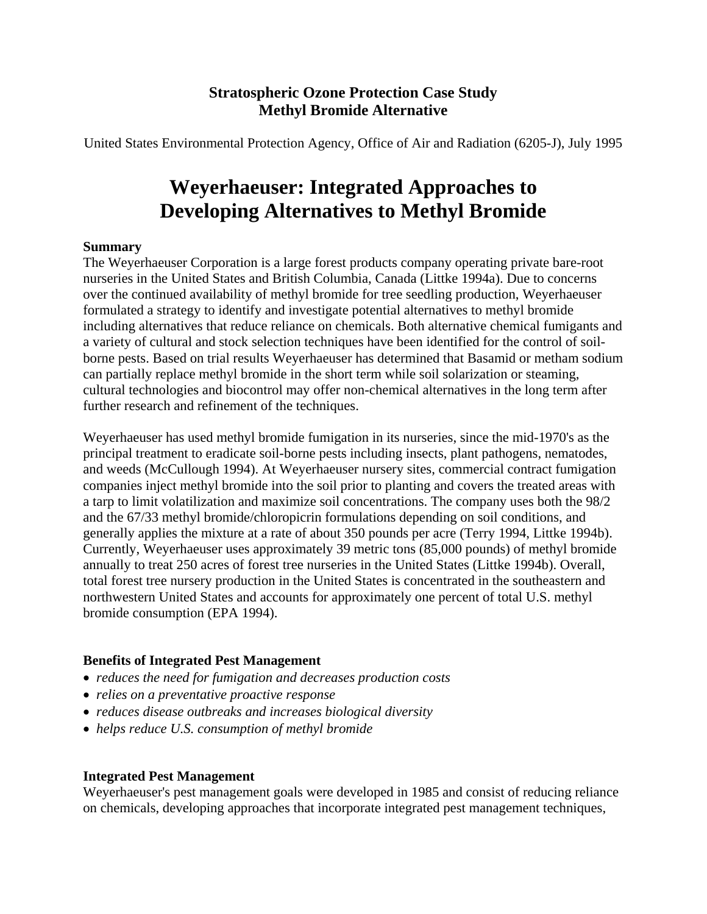## **Stratospheric Ozone Protection Case Study Methyl Bromide Alternative**

United States Environmental Protection Agency, Office of Air and Radiation (6205-J), July 1995

# **Weyerhaeuser: Integrated Approaches to Developing Alternatives to Methyl Bromide**

### **Summary**

The Weyerhaeuser Corporation is a large forest products company operating private bare-root nurseries in the United States and British Columbia, Canada (Littke 1994a). Due to concerns over the continued availability of methyl bromide for tree seedling production, Weyerhaeuser formulated a strategy to identify and investigate potential alternatives to methyl bromide including alternatives that reduce reliance on chemicals. Both alternative chemical fumigants and a variety of cultural and stock selection techniques have been identified for the control of soilborne pests. Based on trial results Weyerhaeuser has determined that Basamid or metham sodium can partially replace methyl bromide in the short term while soil solarization or steaming, cultural technologies and biocontrol may offer non-chemical alternatives in the long term after further research and refinement of the techniques.

Weyerhaeuser has used methyl bromide fumigation in its nurseries, since the mid-1970's as the principal treatment to eradicate soil-borne pests including insects, plant pathogens, nematodes, and weeds (McCullough 1994). At Weyerhaeuser nursery sites, commercial contract fumigation companies inject methyl bromide into the soil prior to planting and covers the treated areas with a tarp to limit volatilization and maximize soil concentrations. The company uses both the 98/2 and the 67/33 methyl bromide/chloropicrin formulations depending on soil conditions, and generally applies the mixture at a rate of about 350 pounds per acre (Terry 1994, Littke 1994b). Currently, Weyerhaeuser uses approximately 39 metric tons (85,000 pounds) of methyl bromide annually to treat 250 acres of forest tree nurseries in the United States (Littke 1994b). Overall, total forest tree nursery production in the United States is concentrated in the southeastern and northwestern United States and accounts for approximately one percent of total U.S. methyl bromide consumption (EPA 1994).

## **Benefits of Integrated Pest Management**

- *reduces the need for fumigation and decreases production costs*
- • *relies on a preventative proactive response*
- • *reduces disease outbreaks and increases biological diversity*
- • *helps reduce U.S. consumption of methyl bromide*

#### **Integrated Pest Management**

Weyerhaeuser's pest management goals were developed in 1985 and consist of reducing reliance on chemicals, developing approaches that incorporate integrated pest management techniques,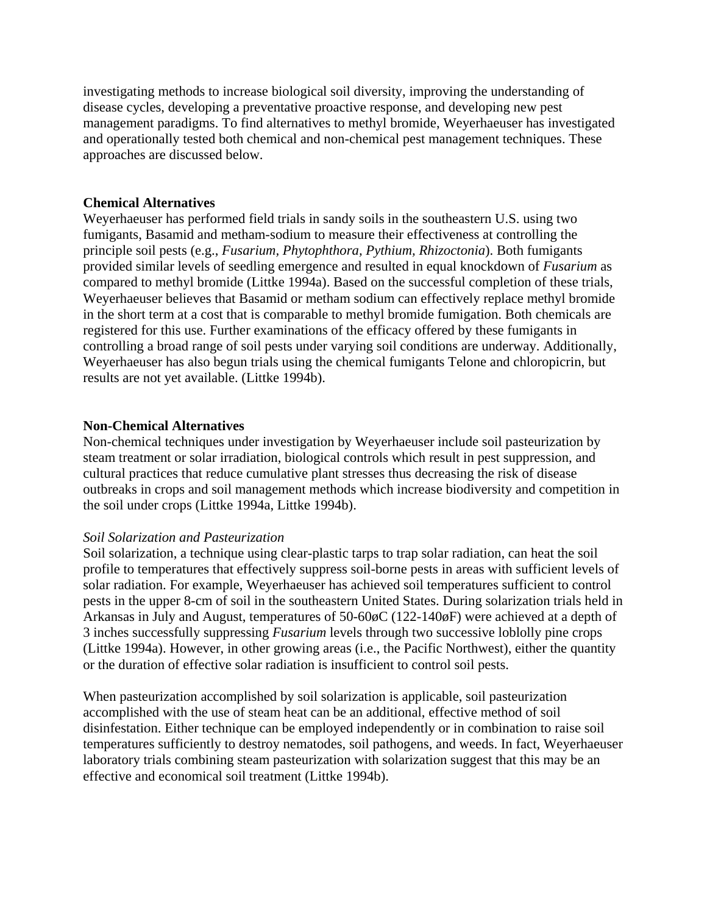investigating methods to increase biological soil diversity, improving the understanding of disease cycles, developing a preventative proactive response, and developing new pest management paradigms. To find alternatives to methyl bromide, Weyerhaeuser has investigated and operationally tested both chemical and non-chemical pest management techniques. These approaches are discussed below.

#### **Chemical Alternatives**

Weyerhaeuser has performed field trials in sandy soils in the southeastern U.S. using two fumigants, Basamid and metham-sodium to measure their effectiveness at controlling the principle soil pests (e.g., *Fusarium, Phytophthora, Pythium, Rhizoctonia*). Both fumigants provided similar levels of seedling emergence and resulted in equal knockdown of *Fusarium* as compared to methyl bromide (Littke 1994a). Based on the successful completion of these trials, Weyerhaeuser believes that Basamid or metham sodium can effectively replace methyl bromide in the short term at a cost that is comparable to methyl bromide fumigation. Both chemicals are registered for this use. Further examinations of the efficacy offered by these fumigants in controlling a broad range of soil pests under varying soil conditions are underway. Additionally, Weyerhaeuser has also begun trials using the chemical fumigants Telone and chloropicrin, but results are not yet available. (Littke 1994b).

#### **Non-Chemical Alternatives**

Non-chemical techniques under investigation by Weyerhaeuser include soil pasteurization by steam treatment or solar irradiation, biological controls which result in pest suppression, and cultural practices that reduce cumulative plant stresses thus decreasing the risk of disease outbreaks in crops and soil management methods which increase biodiversity and competition in the soil under crops (Littke 1994a, Littke 1994b).

#### *Soil Solarization and Pasteurization*

Soil solarization, a technique using clear-plastic tarps to trap solar radiation, can heat the soil profile to temperatures that effectively suppress soil-borne pests in areas with sufficient levels of solar radiation. For example, Weyerhaeuser has achieved soil temperatures sufficient to control pests in the upper 8-cm of soil in the southeastern United States. During solarization trials held in Arkansas in July and August, temperatures of 50-60øC (122-140øF) were achieved at a depth of 3 inches successfully suppressing *Fusarium* levels through two successive loblolly pine crops (Littke 1994a). However, in other growing areas (i.e., the Pacific Northwest), either the quantity or the duration of effective solar radiation is insufficient to control soil pests.

When pasteurization accomplished by soil solarization is applicable, soil pasteurization accomplished with the use of steam heat can be an additional, effective method of soil disinfestation. Either technique can be employed independently or in combination to raise soil temperatures sufficiently to destroy nematodes, soil pathogens, and weeds. In fact, Weyerhaeuser laboratory trials combining steam pasteurization with solarization suggest that this may be an effective and economical soil treatment (Littke 1994b).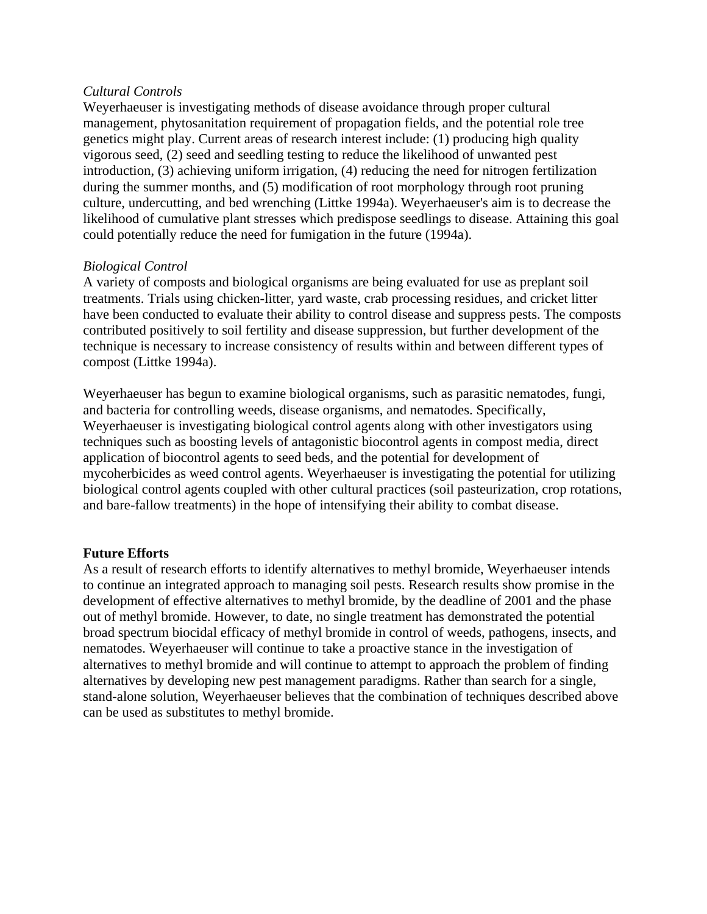#### *Cultural Controls*

Weyerhaeuser is investigating methods of disease avoidance through proper cultural management, phytosanitation requirement of propagation fields, and the potential role tree genetics might play. Current areas of research interest include: (1) producing high quality vigorous seed, (2) seed and seedling testing to reduce the likelihood of unwanted pest introduction, (3) achieving uniform irrigation, (4) reducing the need for nitrogen fertilization during the summer months, and (5) modification of root morphology through root pruning culture, undercutting, and bed wrenching (Littke 1994a). Weyerhaeuser's aim is to decrease the likelihood of cumulative plant stresses which predispose seedlings to disease. Attaining this goal could potentially reduce the need for fumigation in the future (1994a).

## *Biological Control*

A variety of composts and biological organisms are being evaluated for use as preplant soil treatments. Trials using chicken-litter, yard waste, crab processing residues, and cricket litter have been conducted to evaluate their ability to control disease and suppress pests. The composts contributed positively to soil fertility and disease suppression, but further development of the technique is necessary to increase consistency of results within and between different types of compost (Littke 1994a).

Weyerhaeuser has begun to examine biological organisms, such as parasitic nematodes, fungi, and bacteria for controlling weeds, disease organisms, and nematodes. Specifically, Weyerhaeuser is investigating biological control agents along with other investigators using techniques such as boosting levels of antagonistic biocontrol agents in compost media, direct application of biocontrol agents to seed beds, and the potential for development of mycoherbicides as weed control agents. Weyerhaeuser is investigating the potential for utilizing biological control agents coupled with other cultural practices (soil pasteurization, crop rotations, and bare-fallow treatments) in the hope of intensifying their ability to combat disease.

## **Future Efforts**

As a result of research efforts to identify alternatives to methyl bromide, Weyerhaeuser intends to continue an integrated approach to managing soil pests. Research results show promise in the development of effective alternatives to methyl bromide, by the deadline of 2001 and the phase out of methyl bromide. However, to date, no single treatment has demonstrated the potential broad spectrum biocidal efficacy of methyl bromide in control of weeds, pathogens, insects, and nematodes. Weyerhaeuser will continue to take a proactive stance in the investigation of alternatives to methyl bromide and will continue to attempt to approach the problem of finding alternatives by developing new pest management paradigms. Rather than search for a single, stand-alone solution, Weyerhaeuser believes that the combination of techniques described above can be used as substitutes to methyl bromide.